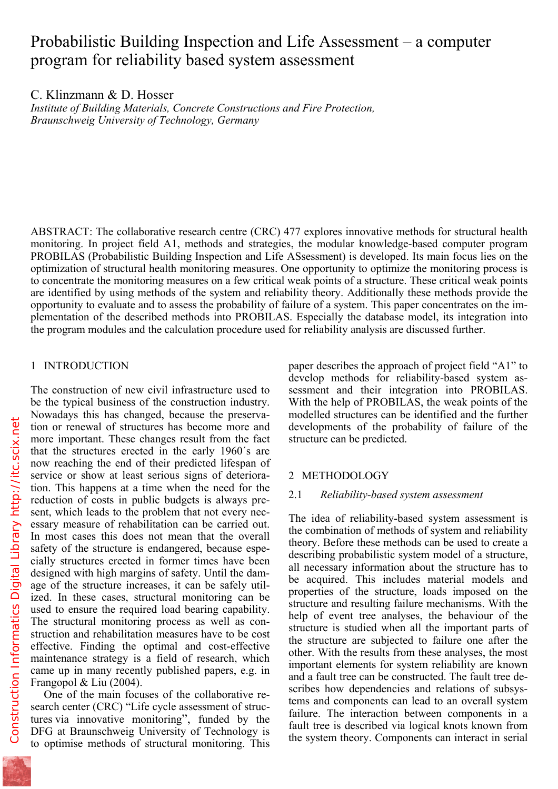# Probabilistic Building Inspection and Life Assessment – a computer program for reliability based system assessment

C. Klinzmann & D. Hosser

*Institute of Building Materials, Concrete Constructions and Fire Protection, Braunschweig University of Technology, Germany* 

ABSTRACT: The collaborative research centre (CRC) 477 explores innovative methods for structural health monitoring. In project field A1, methods and strategies, the modular knowledge-based computer program PROBILAS (Probabilistic Building Inspection and Life ASsessment) is developed. Its main focus lies on the optimization of structural health monitoring measures. One opportunity to optimize the monitoring process is to concentrate the monitoring measures on a few critical weak points of a structure. These critical weak points are identified by using methods of the system and reliability theory. Additionally these methods provide the opportunity to evaluate and to assess the probability of failure of a system. This paper concentrates on the implementation of the described methods into PROBILAS. Especially the database model, its integration into the program modules and the calculation procedure used for reliability analysis are discussed further.

## 1 INTRODUCTION

The construction of new civil infrastructure used to be the typical business of the construction industry. Nowadays this has changed, because the preservation or renewal of structures has become more and more important. These changes result from the fact that the structures erected in the early 1960´s are now reaching the end of their predicted lifespan of service or show at least serious signs of deterioration. This happens at a time when the need for the reduction of costs in public budgets is always present, which leads to the problem that not every necessary measure of rehabilitation can be carried out. In most cases this does not mean that the overall safety of the structure is endangered, because especially structures erected in former times have been designed with high margins of safety. Until the damage of the structure increases, it can be safely utilized. In these cases, structural monitoring can be used to ensure the required load bearing capability. The structural monitoring process as well as construction and rehabilitation measures have to be cost effective. Finding the optimal and cost-effective maintenance strategy is a field of research, which came up in many recently published papers, e.g. in Frangopol & Liu (2004).

One of the main focuses of the collaborative research center (CRC) "Life cycle assessment of structures via innovative monitoring", funded by the DFG at Braunschweig University of Technology is to optimise methods of structural monitoring. This paper describes the approach of project field "A1" to develop methods for reliability-based system assessment and their integration into PROBILAS. With the help of PROBILAS, the weak points of the modelled structures can be identified and the further developments of the probability of failure of the structure can be predicted.

# 2 METHODOLOGY

## 2.1 *Reliability-based system assessment*

The idea of reliability-based system assessment is the combination of methods of system and reliability theory. Before these methods can be used to create a describing probabilistic system model of a structure, all necessary information about the structure has to be acquired. This includes material models and properties of the structure, loads imposed on the structure and resulting failure mechanisms. With the help of event tree analyses, the behaviour of the structure is studied when all the important parts of the structure are subjected to failure one after the other. With the results from these analyses, the most important elements for system reliability are known and a fault tree can be constructed. The fault tree describes how dependencies and relations of subsystems and components can lead to an overall system failure. The interaction between components in a fault tree is described via logical knots known from the system theory. Components can interact in serial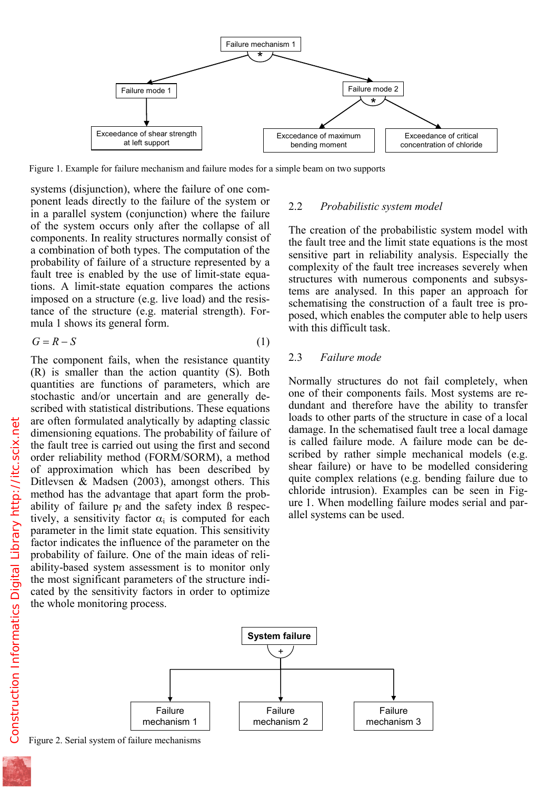

Figure 1. Example for failure mechanism and failure modes for a simple beam on two supports

systems (disjunction), where the failure of one component leads directly to the failure of the system or in a parallel system (conjunction) where the failure of the system occurs only after the collapse of all components. In reality structures normally consist of a combination of both types. The computation of the probability of failure of a structure represented by a fault tree is enabled by the use of limit-state equations. A limit-state equation compares the actions imposed on a structure (e.g. live load) and the resistance of the structure (e.g. material strength). Formula 1 shows its general form.

$$
G = R - S \tag{1}
$$

The component fails, when the resistance quantity (R) is smaller than the action quantity (S). Both quantities are functions of parameters, which are stochastic and/or uncertain and are generally described with statistical distributions. These equations are often formulated analytically by adapting classic dimensioning equations. The probability of failure of the fault tree is carried out using the first and second order reliability method (FORM/SORM), a method of approximation which has been described by Ditlevsen & Madsen (2003), amongst others. This method has the advantage that apart form the probability of failure  $p_f$  and the safety index  $\beta$  respectively, a sensitivity factor  $\alpha_i$  is computed for each parameter in the limit state equation. This sensitivity factor indicates the influence of the parameter on the probability of failure. One of the main ideas of reliability-based system assessment is to monitor only the most significant parameters of the structure indicated by the sensitivity factors in order to optimize the whole monitoring process.

## 2.2 *Probabilistic system model*

The creation of the probabilistic system model with the fault tree and the limit state equations is the most sensitive part in reliability analysis. Especially the complexity of the fault tree increases severely when structures with numerous components and subsystems are analysed. In this paper an approach for schematising the construction of a fault tree is proposed, which enables the computer able to help users with this difficult task.

#### 2.3 *Failure mode*

Normally structures do not fail completely, when one of their components fails. Most systems are redundant and therefore have the ability to transfer loads to other parts of the structure in case of a local damage. In the schematised fault tree a local damage is called failure mode. A failure mode can be described by rather simple mechanical models (e.g. shear failure) or have to be modelled considering quite complex relations (e.g. bending failure due to chloride intrusion). Examples can be seen in Figure 1. When modelling failure modes serial and parallel systems can be used.



Figure 2. Serial system of failure mechanisms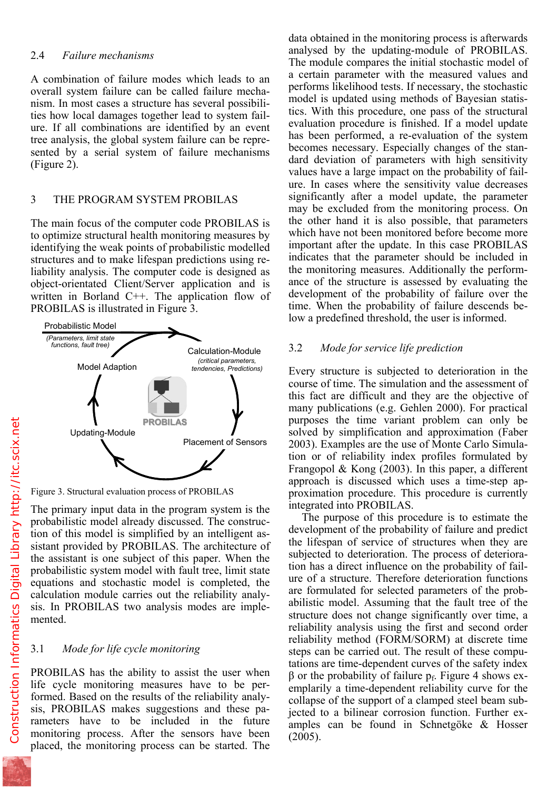## 2.4 *Failure mechanisms*

A combination of failure modes which leads to an overall system failure can be called failure mechanism. In most cases a structure has several possibilities how local damages together lead to system failure. If all combinations are identified by an event tree analysis, the global system failure can be represented by a serial system of failure mechanisms (Figure 2).

## 3 THE PROGRAM SYSTEM PROBILAS

The main focus of the computer code PROBILAS is to optimize structural health monitoring measures by identifying the weak points of probabilistic modelled structures and to make lifespan predictions using reliability analysis. The computer code is designed as object-orientated Client/Server application and is written in Borland C++. The application flow of PROBILAS is illustrated in Figure 3.



Figure 3. Structural evaluation process of PROBILAS

The primary input data in the program system is the probabilistic model already discussed. The construction of this model is simplified by an intelligent assistant provided by PROBILAS. The architecture of the assistant is one subject of this paper. When the probabilistic system model with fault tree, limit state equations and stochastic model is completed, the calculation module carries out the reliability analysis. In PROBILAS two analysis modes are implemented.

# 3.1 *Mode for life cycle monitoring*

PROBILAS has the ability to assist the user when life cycle monitoring measures have to be performed. Based on the results of the reliability analysis, PROBILAS makes suggestions and these parameters have to be included in the future monitoring process. After the sensors have been placed, the monitoring process can be started. The

analysed by the updating-module of PROBILAS. The module compares the initial stochastic model of a certain parameter with the measured values and performs likelihood tests. If necessary, the stochastic model is updated using methods of Bayesian statistics. With this procedure, one pass of the structural evaluation procedure is finished. If a model update has been performed, a re-evaluation of the system becomes necessary. Especially changes of the standard deviation of parameters with high sensitivity values have a large impact on the probability of failure. In cases where the sensitivity value decreases significantly after a model update, the parameter may be excluded from the monitoring process. On the other hand it is also possible, that parameters which have not been monitored before become more important after the update. In this case PROBILAS indicates that the parameter should be included in the monitoring measures. Additionally the performance of the structure is assessed by evaluating the development of the probability of failure over the time. When the probability of failure descends below a predefined threshold, the user is informed.

# 3.2 *Mode for service life prediction*

Every structure is subjected to deterioration in the course of time. The simulation and the assessment of this fact are difficult and they are the objective of many publications (e.g. Gehlen 2000). For practical purposes the time variant problem can only be solved by simplification and approximation (Faber 2003). Examples are the use of Monte Carlo Simulation or of reliability index profiles formulated by Frangopol & Kong (2003). In this paper, a different approach is discussed which uses a time-step approximation procedure. This procedure is currently integrated into PROBILAS.

The purpose of this procedure is to estimate the development of the probability of failure and predict the lifespan of service of structures when they are subjected to deterioration. The process of deterioration has a direct influence on the probability of failure of a structure. Therefore deterioration functions are formulated for selected parameters of the probabilistic model. Assuming that the fault tree of the structure does not change significantly over time, a reliability analysis using the first and second order reliability method (FORM/SORM) at discrete time steps can be carried out. The result of these computations are time-dependent curves of the safety index β or the probability of failure  $p_f$ . Figure 4 shows exemplarily a time-dependent reliability curve for the collapse of the support of a clamped steel beam subjected to a bilinear corrosion function. Further examples can be found in Schnetgöke & Hosser (2005).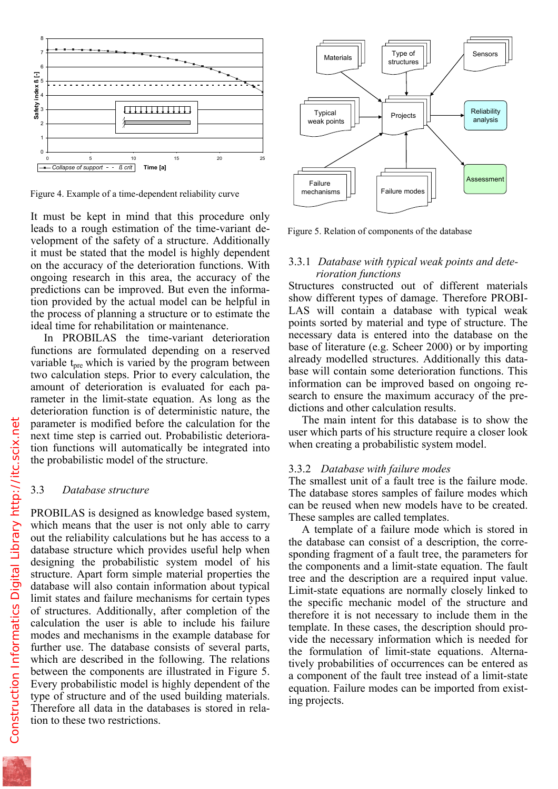

Figure 4. Example of a time-dependent reliability curve

It must be kept in mind that this procedure only leads to a rough estimation of the time-variant development of the safety of a structure. Additionally it must be stated that the model is highly dependent on the accuracy of the deterioration functions. With ongoing research in this area, the accuracy of the predictions can be improved. But even the information provided by the actual model can be helpful in the process of planning a structure or to estimate the ideal time for rehabilitation or maintenance.

In PROBILAS the time-variant deterioration functions are formulated depending on a reserved variable t<sub>pre</sub> which is varied by the program between two calculation steps. Prior to every calculation, the amount of deterioration is evaluated for each parameter in the limit-state equation. As long as the deterioration function is of deterministic nature, the parameter is modified before the calculation for the next time step is carried out. Probabilistic deterioration functions will automatically be integrated into the probabilistic model of the structure.

#### 3.3 *Database structure*

PROBILAS is designed as knowledge based system, which means that the user is not only able to carry out the reliability calculations but he has access to a database structure which provides useful help when designing the probabilistic system model of his structure. Apart form simple material properties the database will also contain information about typical limit states and failure mechanisms for certain types of structures. Additionally, after completion of the calculation the user is able to include his failure modes and mechanisms in the example database for further use. The database consists of several parts, which are described in the following. The relations between the components are illustrated in Figure 5. Every probabilistic model is highly dependent of the type of structure and of the used building materials. Therefore all data in the databases is stored in relation to these two restrictions.



Figure 5. Relation of components of the database

#### 3.3.1 *Database with typical weak points and deterioration functions*

Structures constructed out of different materials show different types of damage. Therefore PROBI-LAS will contain a database with typical weak points sorted by material and type of structure. The necessary data is entered into the database on the base of literature (e.g. Scheer 2000) or by importing already modelled structures. Additionally this database will contain some deterioration functions. This information can be improved based on ongoing research to ensure the maximum accuracy of the predictions and other calculation results.

The main intent for this database is to show the user which parts of his structure require a closer look when creating a probabilistic system model.

#### 3.3.2 *Database with failure modes*

The smallest unit of a fault tree is the failure mode. The database stores samples of failure modes which can be reused when new models have to be created. These samples are called templates.

A template of a failure mode which is stored in the database can consist of a description, the corresponding fragment of a fault tree, the parameters for the components and a limit-state equation. The fault tree and the description are a required input value. Limit-state equations are normally closely linked to the specific mechanic model of the structure and therefore it is not necessary to include them in the template. In these cases, the description should provide the necessary information which is needed for the formulation of limit-state equations. Alternatively probabilities of occurrences can be entered as a component of the fault tree instead of a limit-state equation. Failure modes can be imported from existing projects.

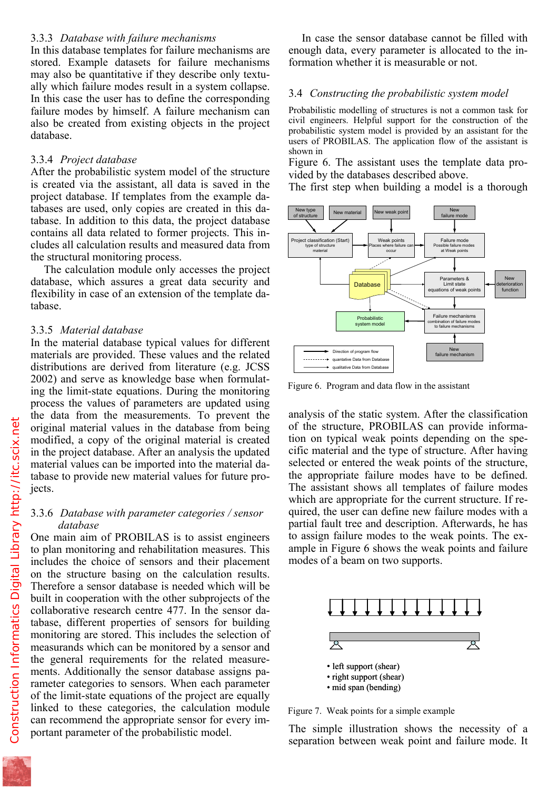In this database templates for failure mechanisms are stored. Example datasets for failure mechanisms may also be quantitative if they describe only textually which failure modes result in a system collapse. In this case the user has to define the corresponding failure modes by himself. A failure mechanism can also be created from existing objects in the project database.

#### 3.3.4 *Project database*

After the probabilistic system model of the structure is created via the assistant, all data is saved in the project database. If templates from the example databases are used, only copies are created in this database. In addition to this data, the project database contains all data related to former projects. This includes all calculation results and measured data from the structural monitoring process.

The calculation module only accesses the project database, which assures a great data security and flexibility in case of an extension of the template database.

#### 3.3.5 *Material database*

In the material database typical values for different materials are provided. These values and the related distributions are derived from literature (e.g. JCSS 2002) and serve as knowledge base when formulating the limit-state equations. During the monitoring process the values of parameters are updated using the data from the measurements. To prevent the original material values in the database from being modified, a copy of the original material is created in the project database. After an analysis the updated material values can be imported into the material database to provide new material values for future projects.

#### 3.3.6 *Database with parameter categories / sensor database*

One main aim of PROBILAS is to assist engineers to plan monitoring and rehabilitation measures. This includes the choice of sensors and their placement on the structure basing on the calculation results. Therefore a sensor database is needed which will be built in cooperation with the other subprojects of the collaborative research centre 477. In the sensor database, different properties of sensors for building monitoring are stored. This includes the selection of measurands which can be monitored by a sensor and the general requirements for the related measurements. Additionally the sensor database assigns parameter categories to sensors. When each parameter of the limit-state equations of the project are equally linked to these categories, the calculation module can recommend the appropriate sensor for every important parameter of the probabilistic model.

enough data, every parameter is allocated to the information whether it is measurable or not.

#### 3.4 *Constructing the probabilistic system model*

Probabilistic modelling of structures is not a common task for civil engineers. Helpful support for the construction of the probabilistic system model is provided by an assistant for the users of PROBILAS. The application flow of the assistant is shown in

Figure 6. The assistant uses the template data provided by the databases described above.

The first step when building a model is a thorough



Figure 6. Program and data flow in the assistant

analysis of the static system. After the classification of the structure, PROBILAS can provide information on typical weak points depending on the specific material and the type of structure. After having selected or entered the weak points of the structure, the appropriate failure modes have to be defined. The assistant shows all templates of failure modes which are appropriate for the current structure. If required, the user can define new failure modes with a partial fault tree and description. Afterwards, he has to assign failure modes to the weak points. The example in Figure 6 shows the weak points and failure modes of a beam on two supports.



Figure 7. Weak points for a simple example

The simple illustration shows the necessity of a separation between weak point and failure mode. It